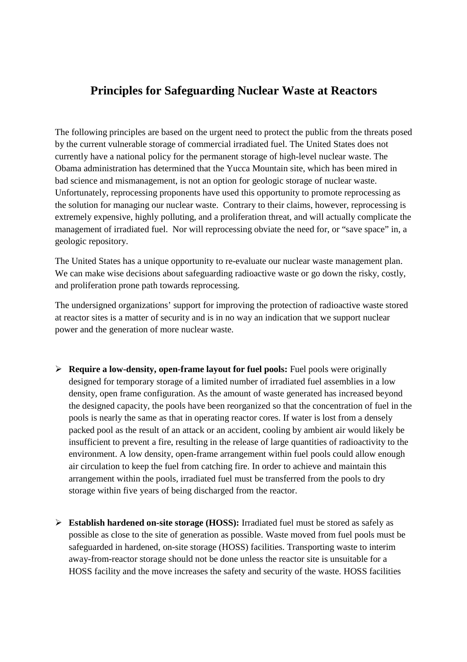# **Principles for Safeguarding Nuclear Waste at Reactors**

The following principles are based on the urgent need to protect the public from the threats posed by the current vulnerable storage of commercial irradiated fuel. The United States does not currently have a national policy for the permanent storage of high-level nuclear waste. The Obama administration has determined that the Yucca Mountain site, which has been mired in bad science and mismanagement, is not an option for geologic storage of nuclear waste. Unfortunately, reprocessing proponents have used this opportunity to promote reprocessing as the solution for managing our nuclear waste. Contrary to their claims, however, reprocessing is extremely expensive, highly polluting, and a proliferation threat, and will actually complicate the management of irradiated fuel. Nor will reprocessing obviate the need for, or "save space" in, a geologic repository.

The United States has a unique opportunity to re-evaluate our nuclear waste management plan. We can make wise decisions about safeguarding radioactive waste or go down the risky, costly, and proliferation prone path towards reprocessing.

The undersigned organizations' support for improving the protection of radioactive waste stored at reactor sites is a matter of security and is in no way an indication that we support nuclear power and the generation of more nuclear waste.

- **Require a low-density, open-frame layout for fuel pools:** Fuel pools were originally designed for temporary storage of a limited number of irradiated fuel assemblies in a low density, open frame configuration. As the amount of waste generated has increased beyond the designed capacity, the pools have been reorganized so that the concentration of fuel in the pools is nearly the same as that in operating reactor cores. If water is lost from a densely packed pool as the result of an attack or an accident, cooling by ambient air would likely be insufficient to prevent a fire, resulting in the release of large quantities of radioactivity to the environment. A low density, open-frame arrangement within fuel pools could allow enough air circulation to keep the fuel from catching fire. In order to achieve and maintain this arrangement within the pools, irradiated fuel must be transferred from the pools to dry storage within five years of being discharged from the reactor.
- **Establish hardened on-site storage (HOSS):** Irradiated fuel must be stored as safely as possible as close to the site of generation as possible. Waste moved from fuel pools must be safeguarded in hardened, on-site storage (HOSS) facilities. Transporting waste to interim away-from-reactor storage should not be done unless the reactor site is unsuitable for a HOSS facility and the move increases the safety and security of the waste. HOSS facilities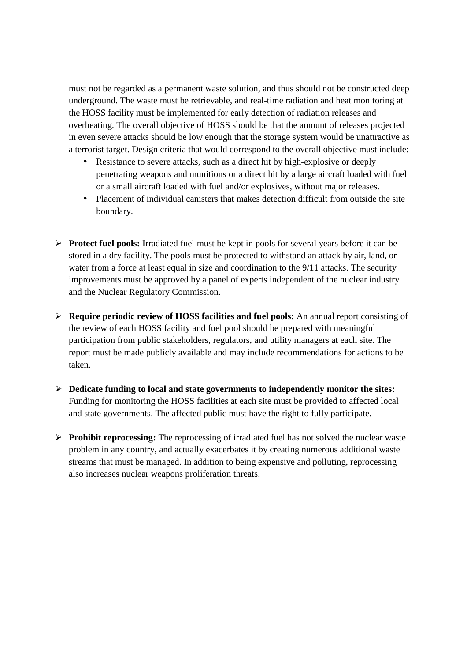must not be regarded as a permanent waste solution, and thus should not be constructed deep underground. The waste must be retrievable, and real-time radiation and heat monitoring at the HOSS facility must be implemented for early detection of radiation releases and overheating. The overall objective of HOSS should be that the amount of releases projected in even severe attacks should be low enough that the storage system would be unattractive as a terrorist target. Design criteria that would correspond to the overall objective must include:

- Resistance to severe attacks, such as a direct hit by high-explosive or deeply penetrating weapons and munitions or a direct hit by a large aircraft loaded with fuel or a small aircraft loaded with fuel and/or explosives, without major releases.
- Placement of individual canisters that makes detection difficult from outside the site boundary.
- **Protect fuel pools:** Irradiated fuel must be kept in pools for several years before it can be stored in a dry facility. The pools must be protected to withstand an attack by air, land, or water from a force at least equal in size and coordination to the 9/11 attacks. The security improvements must be approved by a panel of experts independent of the nuclear industry and the Nuclear Regulatory Commission.
- **Require periodic review of HOSS facilities and fuel pools:** An annual report consisting of the review of each HOSS facility and fuel pool should be prepared with meaningful participation from public stakeholders, regulators, and utility managers at each site. The report must be made publicly available and may include recommendations for actions to be taken.
- **Dedicate funding to local and state governments to independently monitor the sites:** Funding for monitoring the HOSS facilities at each site must be provided to affected local and state governments. The affected public must have the right to fully participate.
- **Prohibit reprocessing:** The reprocessing of irradiated fuel has not solved the nuclear waste problem in any country, and actually exacerbates it by creating numerous additional waste streams that must be managed. In addition to being expensive and polluting, reprocessing also increases nuclear weapons proliferation threats.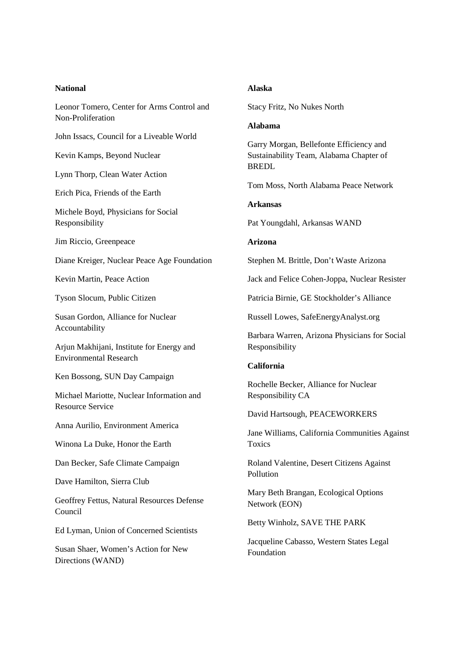| <b>National</b>                                             | <b>Alaska</b>                                                   |
|-------------------------------------------------------------|-----------------------------------------------------------------|
| Leonor Tomero, Center for Arms Control and                  | Stacy Fritz, No Nukes North                                     |
| Non-Proliferation                                           | <b>Alabama</b>                                                  |
| John Issacs, Council for a Liveable World                   | Garry Morgan, Bellefonte Efficiency and                         |
| Kevin Kamps, Beyond Nuclear                                 | Sustainability Team, Alabama Chapter of<br><b>BREDL</b>         |
| Lynn Thorp, Clean Water Action                              |                                                                 |
| Erich Pica, Friends of the Earth                            | Tom Moss, North Alabama Peace Network                           |
| Michele Boyd, Physicians for Social                         | <b>Arkansas</b>                                                 |
| Responsibility                                              | Pat Youngdahl, Arkansas WAND                                    |
| Jim Riccio, Greenpeace                                      | <b>Arizona</b>                                                  |
| Diane Kreiger, Nuclear Peace Age Foundation                 | Stephen M. Brittle, Don't Waste Arizona                         |
| Kevin Martin, Peace Action                                  | Jack and Felice Cohen-Joppa, Nuclear Resister                   |
| Tyson Slocum, Public Citizen                                | Patricia Birnie, GE Stockholder's Alliance                      |
| Susan Gordon, Alliance for Nuclear                          | Russell Lowes, SafeEnergyAnalyst.org                            |
| Accountability<br>Arjun Makhijani, Institute for Energy and | Barbara Warren, Arizona Physicians for Social<br>Responsibility |
| <b>Environmental Research</b>                               | California                                                      |
| Ken Bossong, SUN Day Campaign                               | Rochelle Becker, Alliance for Nuclear                           |
| Michael Mariotte, Nuclear Information and                   | Responsibility CA                                               |
| <b>Resource Service</b>                                     | David Hartsough, PEACEWORKERS                                   |
| Anna Aurilio, Environment America                           | Jane Williams, California Communities Against                   |
| Winona La Duke, Honor the Earth                             | Toxics                                                          |
| Dan Becker, Safe Climate Campaign                           | Roland Valentine, Desert Citizens Against<br>Pollution          |
| Dave Hamilton, Sierra Club                                  |                                                                 |
| Geoffrey Fettus, Natural Resources Defense<br>Council       | Mary Beth Brangan, Ecological Options<br>Network (EON)          |
| Ed Lyman, Union of Concerned Scientists                     | Betty Winholz, SAVE THE PARK                                    |
| Susan Shaer, Women's Action for New<br>Directions (WAND)    | Jacqueline Cabasso, Western States Legal<br>Foundation          |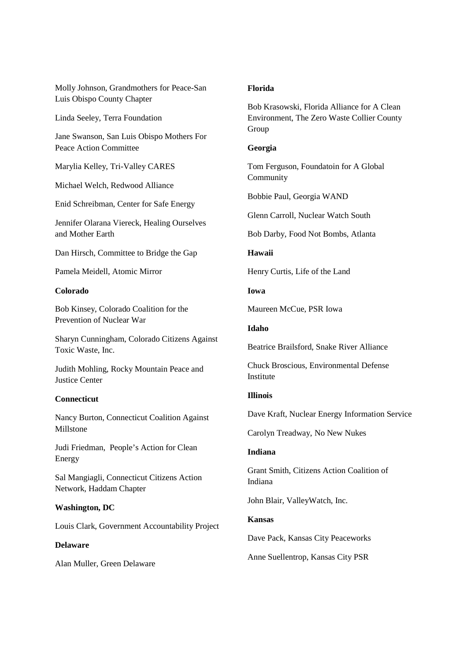Molly Johnson, Grandmothers for Peace-San Luis Obispo County Chapter

Linda Seeley, Terra Foundation

Jane Swanson, San Luis Obispo Mothers For Peace Action Committee

Marylia Kelley, Tri-Valley CARES

Michael Welch, Redwood Alliance

Enid Schreibman, Center for Safe Energy

Jennifer Olarana Viereck, Healing Ourselves and Mother Earth

Dan Hirsch, Committee to Bridge the Gap

Pamela Meidell, Atomic Mirror

#### **Colorado**

Bob Kinsey, Colorado Coalition for the Prevention of Nuclear War

Sharyn Cunningham, Colorado Citizens Against Toxic Waste, Inc.

Judith Mohling, Rocky Mountain Peace and Justice Center

#### **Connecticut**

Nancy Burton, Connecticut Coalition Against Millstone

Judi Friedman, People's Action for Clean Energy

Sal Mangiagli, Connecticut Citizens Action Network, Haddam Chapter

#### **Washington, DC**

Louis Clark, Government Accountability Project

#### **Delaware**

Alan Muller, Green Delaware

#### **Florida**

Bob Krasowski, Florida Alliance for A Clean Environment, The Zero Waste Collier County Group

#### **Georgia**

Tom Ferguson, Foundatoin for A Global Community

Bobbie Paul, Georgia WAND

Glenn Carroll, Nuclear Watch South

Bob Darby, Food Not Bombs, Atlanta

**Hawaii** 

Henry Curtis, Life of the Land

**Iowa** 

Maureen McCue, PSR Iowa

#### **Idaho**

Beatrice Brailsford, Snake River Alliance

Chuck Broscious, Environmental Defense Institute

## **Illinois**

Dave Kraft, Nuclear Energy Information Service

Carolyn Treadway, No New Nukes

#### **Indiana**

Grant Smith, Citizens Action Coalition of Indiana

John Blair, ValleyWatch, Inc.

## **Kansas**

Dave Pack, Kansas City Peaceworks

Anne Suellentrop, Kansas City PSR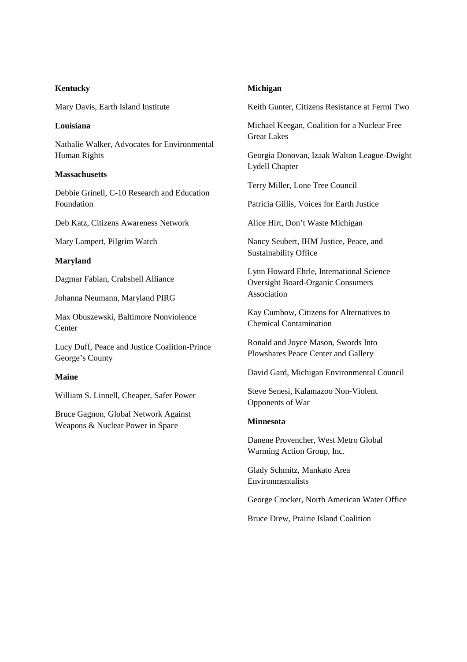# **Kentucky**

Mary Davis, Earth Island Institute

## **Louisiana**

Nathalie Walker, Advocates for Environmental Human Rights

## **Massachusetts**

Debbie Grinell, C-10 Research and Education Foundation

Deb Katz, Citizens Awareness Network

Mary Lampert, Pilgrim Watch

## **Maryland**

Dagmar Fabian, Crabshell Alliance

Johanna Neumann, Maryland PIRG

Max Obuszewski, Baltimore Nonviolence Center

Lucy Duff, Peace and Justice Coalition-Prince George's County

# **Maine**

William S. Linnell, Cheaper, Safer Power

Bruce Gagnon, Global Network Against Weapons & Nuclear Power in Space

# **Michigan**

Keith Gunter, Citizens Resistance at Fermi Two

Michael Keegan, Coalition for a Nuclear Free Great Lakes

Georgia Donovan, Izaak Walton League-Dwight Lydell Chapter

Terry Miller, Lone Tree Council

Patricia Gillis, Voices for Earth Justice

Alice Hirt, Don't Waste Michigan

Nancy Seubert, IHM Justice, Peace, and Sustainability Office

Lynn Howard Ehrle, International Science Oversight Board-Organic Consumers Association

Kay Cumbow, Citizens for Alternatives to Chemical Contamination

Ronald and Joyce Mason, Swords Into Plowshares Peace Center and Gallery

David Gard, Michigan Environmental Council

Steve Senesi, Kalamazoo Non-Violent Opponents of War

#### **Minnesota**

Danene Provencher, West Metro Global Warming Action Group, Inc.

Glady Schmitz, Mankato Area Environmentalists

George Crocker, North American Water Office

Bruce Drew, Prairie Island Coalition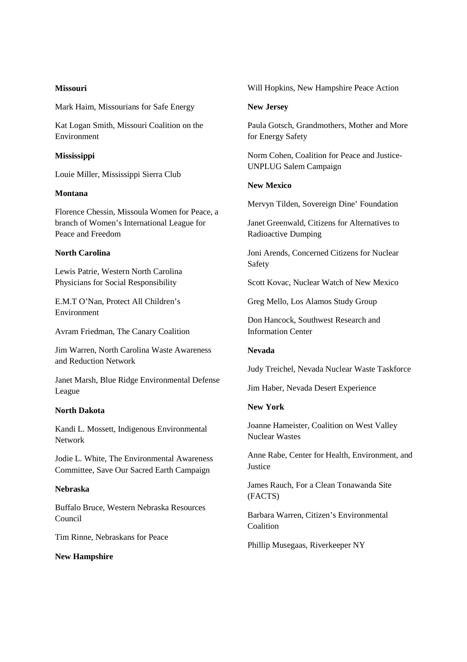## **Missouri**

Mark Haim, Missourians for Safe Energy

Kat Logan Smith, Missouri Coalition on the Environment

## **Mississippi**

Louie Miller, Mississippi Sierra Club

## **Montana**

Florence Chessin, Missoula Women for Peace, a branch of Women's International League for Peace and Freedom

## **North Carolina**

Lewis Patrie, Western North Carolina Physicians for Social Responsibility

E.M.T O'Nan, Protect All Children's Environment

Avram Friedman, The Canary Coalition

Jim Warren, North Carolina Waste Awareness and Reduction Network

Janet Marsh, Blue Ridge Environmental Defense League

#### **North Dakota**

Kandi L. Mossett, Indigenous Environmental Network

Jodie L. White, The Environmental Awareness Committee, Save Our Sacred Earth Campaign

## **Nebraska**

Buffalo Bruce, Western Nebraska Resources Council

Tim Rinne, Nebraskans for Peace

## **New Hampshire**

Will Hopkins, New Hampshire Peace Action

#### **New Jersey**

Paula Gotsch, Grandmothers, Mother and More for Energy Safety

Norm Cohen, Coalition for Peace and Justice-UNPLUG Salem Campaign

# **New Mexico**

Mervyn Tilden, Sovereign Dine' Foundation

Janet Greenwald, Citizens for Alternatives to Radioactive Dumping

Joni Arends, Concerned Citizens for Nuclear Safety

Scott Kovac, Nuclear Watch of New Mexico

Greg Mello, Los Alamos Study Group

Don Hancock, Southwest Research and Information Center

## **Nevada**

Judy Treichel, Nevada Nuclear Waste Taskforce

Jim Haber, Nevada Desert Experience

## **New York**

Joanne Hameister, Coalition on West Valley Nuclear Wastes

Anne Rabe, Center for Health, Environment, and **Justice** 

James Rauch, For a Clean Tonawanda Site (FACTS)

Barbara Warren, Citizen's Environmental **Coalition** 

Phillip Musegaas, Riverkeeper NY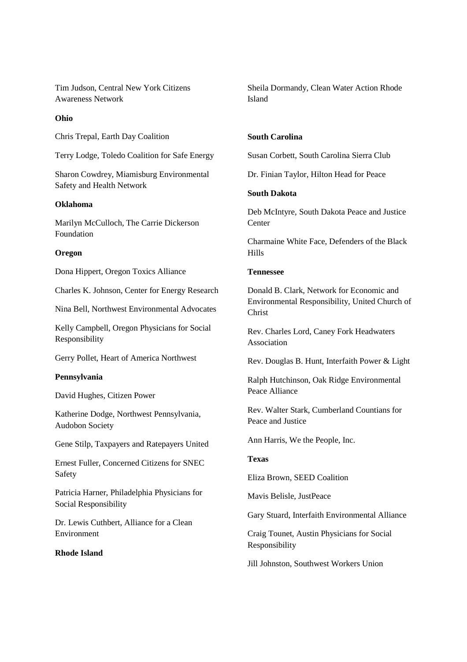Tim Judson, Central New York Citizens Awareness Network

## **Ohio**

Chris Trepal, Earth Day Coalition

Terry Lodge, Toledo Coalition for Safe Energy

Sharon Cowdrey, Miamisburg Environmental Safety and Health Network

# **Oklahoma**

Marilyn McCulloch, The Carrie Dickerson Foundation

## **Oregon**

Dona Hippert, Oregon Toxics Alliance

Charles K. Johnson, Center for Energy Research

Nina Bell, Northwest Environmental Advocates

Kelly Campbell, Oregon Physicians for Social Responsibility

Gerry Pollet, Heart of America Northwest

## **Pennsylvania**

David Hughes, Citizen Power

Katherine Dodge, Northwest Pennsylvania, Audobon Society

Gene Stilp, Taxpayers and Ratepayers United

Ernest Fuller, Concerned Citizens for SNEC Safety

Patricia Harner, Philadelphia Physicians for Social Responsibility

Dr. Lewis Cuthbert, Alliance for a Clean Environment

## **Rhode Island**

Sheila Dormandy, Clean Water Action Rhode Island

## **South Carolina**

Susan Corbett, South Carolina Sierra Club

Dr. Finian Taylor, Hilton Head for Peace

# **South Dakota**

Deb McIntyre, South Dakota Peace and Justice **Center** 

Charmaine White Face, Defenders of the Black Hills

# **Tennessee**

Donald B. Clark, Network for Economic and Environmental Responsibility, United Church of Christ

Rev. Charles Lord, Caney Fork Headwaters Association

Rev. Douglas B. Hunt, Interfaith Power & Light

Ralph Hutchinson, Oak Ridge Environmental Peace Alliance

Rev. Walter Stark, Cumberland Countians for Peace and Justice

Ann Harris, We the People, Inc.

# **Texas**

Eliza Brown, SEED Coalition

Mavis Belisle, JustPeace

Gary Stuard, Interfaith Environmental Alliance

Craig Tounet, Austin Physicians for Social Responsibility

Jill Johnston, Southwest Workers Union